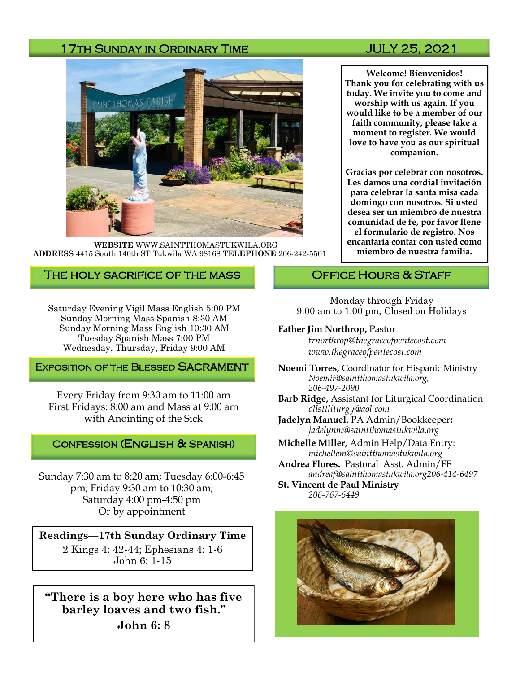### 17TH SUNDAY IN ORDINARY TIME **State State State State State State** JULY 25, 2021



**WEBSITE** WWW.SAINTTHOMASTUKWILA.ORG **ADDRESS** 4415 South 140th ST Tukwila WA 98168 **TELEPHONE** 206-242-5501

### The holy sacrifice of the mass

Saturday Evening Vigil Mass English 5:00 PM Sunday Morning Mass Spanish 8:30 AM Sunday Morning Mass English 10:30 AM Tuesday Spanish Mass 7:00 PM Wednesday, Thursday, Friday 9:00 AM

#### **EXPOSITION OF THE BLESSED SACRAMENT**

Every Friday from 9:30 am to 11:00 am First Fridays: 8:00 am and Mass at 9:00 am with Anointing of the Sick

#### Confession (English & Spanish)

Sunday 7:30 am to 8:20 am; Tuesday 6:00-6:45 pm; Friday 9:30 am to 10:30 am; Saturday 4:00 pm-4:50 pm Or by appointment

**Readings—17th Sunday Ordinary Time** 2 Kings 4: 42-44; Ephesians 4: 1-6 John 6: 1-15

**"There is a boy here who has five barley loaves and two fish." John 6: 8** 

**Welcome! Bienvenidos! Thank you for celebrating with us today. We invite you to come and worship with us again. If you would like to be a member of our faith community, please take a moment to register. We would love to have you as our spiritual companion.** 

**Gracias por celebrar con nosotros. Les damos una cordial invitación para celebrar la santa misa cada domingo con nosotros. Si usted desea ser un miembro de nuestra comunidad de fe, por favor llene el formulario de registro. Nos encantaría contar con usted como miembro de nuestra familia.**

#### OFFICE HOURS & STAFF

Monday through Friday 9:00 am to 1:00 pm, Closed on Holidays

#### **Father Jim Northrop,** Pastor

f*rnorthrop@thegraceofpentecost.com www.thegraceofpentecost.com* 

- **Noemi Torres,** Coordinator for Hispanic Ministry *Noemit@saintthomastukwila.org, 206-497-2090*
- **Barb Ridge,** Assistant for Liturgical Coordination *ollsttliturgy@aol.com*
- **Jadelyn Manuel,** PA Admin/Bookkeeper**:**  *jadelynm@saintthomastukwila.org*
- **Michelle Miller,** Admin Help/Data Entry: *michellem@saintthomastukwila.org*
- **Andrea Flores.** Pastoral Asst. Admin/FF *andreaf@saintthomastukwila.org206-414-6497*

**St. Vincent de Paul Ministry** *206-767-6449*

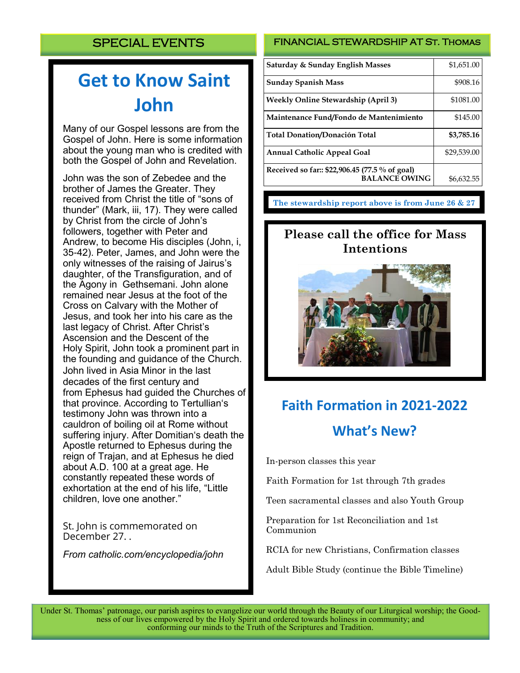# **Get to Know Saint John**

Many of our Gospel lessons are from the Gospel of John. Here is some information about the young man who is credited with both the Gospel of John and Revelation.

John was the son of Zebedee and the brother of James the Greater. They received from Christ the title of "sons of thunder" (Mark, iii, 17). They were called by Christ from the circle of John's followers, together with Peter and Andrew, to become His disciples (John, i, 35-42). Peter, James, and John were the only witnesses of the raising of Jairus's daughter, of the [Transfiguration,](https://www.catholic.com/encyclopedia/transfiguration) and of the Agony in [Gethsemani.](https://www.catholic.com/encyclopedia/gethsemani) John alone remained near Jesus at the foot of the Cross on Calvary with the Mother of Jesus, and took her into his care as the last legacy of Christ. After Christ's [Ascension](https://www.catholic.com/encyclopedia/ascension) and the Descent of the Holy [Spirit,](https://www.catholic.com/encyclopedia/spirit) John took a prominent part in the founding and guidance of the Church. John lived in Asia Minor in the last decades of the first century and from [Ephesus](https://www.catholic.com/encyclopedia/ephesus) had guided the Churches of that province. According to Tertullian's testimony John was thrown into a cauldron of boiling oil at Rome without suffering injury. After Domitian's death the Apostle returned to Ephesus during the reign of [Trajan,](https://www.catholic.com/encyclopedia/trajan) and at Ephesus he died about A.D. 100 at a great age. He constantly repeated these words of exhortation at the end of his life, "Little children, love one another."

St. John is commemorated on December 27. .

*From catholic.com/encyclopedia/john*

#### FINANCIAL STEWARDSHIP AT St. Thomas

| Saturday & Sunday English Masses                                       | \$1,651.00  |
|------------------------------------------------------------------------|-------------|
| <b>Sunday Spanish Mass</b>                                             | \$908.16    |
| <b>Weekly Online Stewardship (April 3)</b>                             | \$1081.00   |
| Maintenance Fund/Fondo de Mantenimiento                                | \$145.00    |
| <b>Total Donation/Donación Total</b>                                   | \$3,785.16  |
| <b>Annual Catholic Appeal Goal</b>                                     | \$29,539.00 |
| Received so far:: \$22,906.45 (77.5 % of goal)<br><b>BALANCE OWING</b> | \$6,632.55  |

**The stewardship report above is from June 26 & 27**

# **Please call the office for Mass Intentions**



# **Faith Formation in 2021-2022 What's New?**

In-person classes this year

Faith Formation for 1st through 7th grades

Teen sacramental classes and also Youth Group

Preparation for 1st Reconciliation and 1st Communion

RCIA for new Christians, Confirmation classes

Adult Bible Study (continue the Bible Timeline)

Under St. Thomas' patronage, our parish aspires to evangelize our world through the Beauty of our Liturgical worship; the Goodness of our lives empowered by the Holy Spirit and ordered towards holiness in community; and conforming our minds to the Truth of the Scriptures and Tradition.